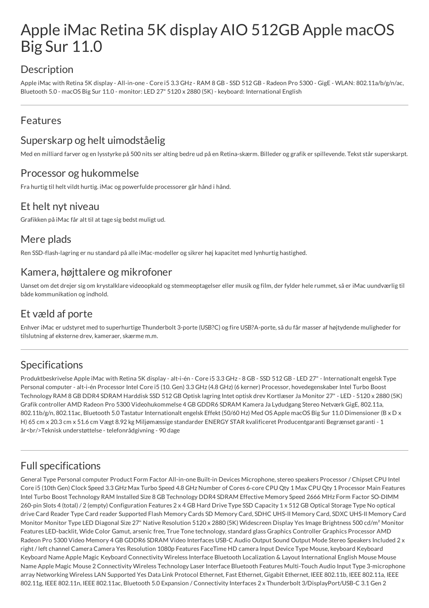# Apple iMac Retina 5K display AIO 512GB Apple macOS Big Sur 11.0

# Description

Apple iMac with Retina 5K display - All-in-one - Core i5 3.3 GHz - RAM 8 GB - SSD 512 GB - Radeon Pro 5300 - GigE - WLAN: 802.11a/b/g/n/ac, Bluetooth 5.0 - macOS Big Sur 11.0 - monitor: LED 27" 5120 x 2880 (5K) - keyboard: International English

### Features

# Superskarp og helt uimodståelig

Med en milliard farver og en lysstyrke på 500 nits ser alting bedre ud på en Retina-skærm. Billeder og grafik er spillevende. Tekst står superskarpt.

#### Processor og hukommelse

Fra hurtig til helt vildt hurtig. iMac og powerfulde processorer går hånd i hånd.

#### Et helt nyt niveau

Grafikken på iMac får alt til at tage sig bedst muligt ud.

#### Mere plads

Ren SSD-flash-lagring er nu standard på alle iMac-modeller og sikrer høj kapacitet med lynhurtig hastighed.

#### Kamera, højttalere og mikrofoner

Uanset om det drejer sig om krystalklare videoopkald og stemmeoptagelser eller musik og film, der fylder hele rummet, så er iMac uundværlig til både kommunikation og indhold.

# Et væld af porte

Enhver iMac er udstyret med to superhurtige Thunderbolt 3-porte (USB?C) og fire USB?A-porte, så du får masser af højtydende muligheder for tilslutning af eksterne drev, kameraer, skærme m.m.

# Specifications

Produktbeskrivelse Apple iMac with Retina 5K display - alt-i-én - Core i5 3.3 GHz - 8 GB - SSD 512 GB - LED 27" - Internationalt engelsk Type Personal computer - alt-i-én Processor Intel Core i5 (10. Gen) 3.3 GHz (4.8 GHz) (6 kerner) Processor, hovedegenskaber Intel Turbo Boost Technology RAM 8 GB DDR4 SDRAM Harddisk SSD 512 GB Optisk lagring Intet optisk drev Kortlæser Ja Monitor 27" - LED - 5120 x 2880 (5K) Grafik controller AMD Radeon Pro 5300 Videohukommelse 4 GB GDDR6 SDRAM Kamera Ja Lydudgang Stereo Netværk GigE, 802.11a, 802.11b/g/n, 802.11ac, Bluetooth 5.0 Tastatur Internationalt engelsk Effekt (50/60 Hz) Med OS Apple macOS Big Sur 11.0 Dimensioner (B x D x H) 65 cm x 20.3 cm x 51.6 cm Vægt 8.92 kg Miljømæssige standarder ENERGY STAR kvalificeret Producentgaranti Begrænset garanti - 1 år < br />Teknisk understøttelse - telefonrådgivning - 90 dage

# Full specifications

General Type Personal computer Product Form Factor All-in-one Built-in Devices Microphone, stereo speakers Processor / Chipset CPU Intel Core i5 (10th Gen) Clock Speed 3.3 GHz Max Turbo Speed 4.8 GHz Number of Cores 6-core CPU Qty 1 Max CPU Qty 1 Processor Main Features Intel Turbo Boost Technology RAM Installed Size 8 GB Technology DDR4 SDRAM Effective Memory Speed 2666 MHz Form Factor SO-DIMM 260-pin Slots 4 (total) / 2 (empty) Configuration Features 2 x 4 GB Hard Drive Type SSD Capacity 1 x 512 GB Optical Storage Type No optical drive Card Reader Type Card reader Supported Flash Memory Cards SD Memory Card, SDHC UHS-II Memory Card, SDXC UHS-II Memory Card Monitor Monitor Type LED Diagonal Size 27" Native Resolution 5120 x 2880 (5K) Widescreen Display Yes Image Brightness 500 cd/m<sup>2</sup> Monitor Features LED-backlit, Wide Color Gamut, arsenic free, True Tone technology, standard glass Graphics Controller Graphics Processor AMD Radeon Pro 5300 Video Memory 4 GB GDDR6 SDRAM Video Interfaces USB-C Audio Output Sound Output Mode Stereo Speakers Included 2 x right / left channel Camera Camera Yes Resolution 1080p Features FaceTime HD camera Input Device Type Mouse, keyboard Keyboard Keyboard Name Apple Magic Keyboard Connectivity Wireless Interface Bluetooth Localization & Layout International English Mouse Mouse Name Apple Magic Mouse 2 Connectivity Wireless Technology Laser Interface Bluetooth Features Multi-Touch Audio Input Type 3-microphone array Networking Wireless LAN Supported Yes Data Link Protocol Ethernet, Fast Ethernet, Gigabit Ethernet, IEEE 802.11b, IEEE 802.11a, IEEE 802.11g, IEEE 802.11n, IEEE 802.11ac, Bluetooth 5.0 Expansion / Connectivity Interfaces 2 x Thunderbolt 3/DisplayPort/USB-C 3.1 Gen 2